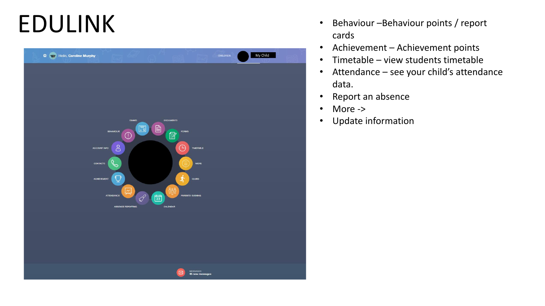## EDULINK



- Behaviour Behaviour points / report cards
- Achievement Achievement points
- Timetable view students timetable
- Attendance see your child's attendance data.
- Report an absence
- More ->
- Update information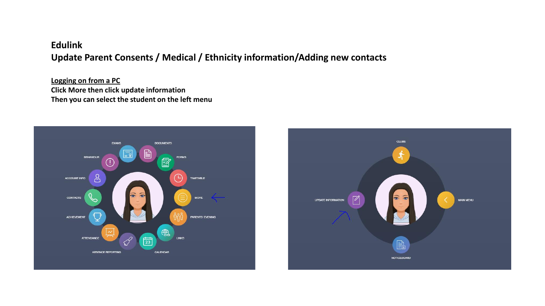## **Edulink Update Parent Consents / Medical / Ethnicity information/Adding new contacts**

**Logging on from a PC Click More then click update information Then you can select the student on the left menu**



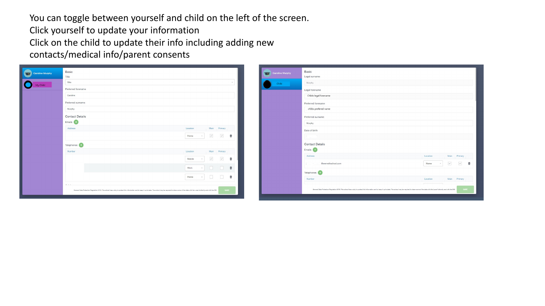You can toggle between yourself and child on the left of the screen. Click yourself to update your information Click on the child to update their info including adding new contacts/medical info/parent consents

| Caroline Murphy | Basic<br>Title                                                                                                                                                                                                                        |                                                                                                                                                                                                                                                                                                                                                                                                                                                                | Caroline Murphy | Basic<br>Legal surname                                                                                                                                                                                                |                                                                                                                  |  |  |
|-----------------|---------------------------------------------------------------------------------------------------------------------------------------------------------------------------------------------------------------------------------------|----------------------------------------------------------------------------------------------------------------------------------------------------------------------------------------------------------------------------------------------------------------------------------------------------------------------------------------------------------------------------------------------------------------------------------------------------------------|-----------------|-----------------------------------------------------------------------------------------------------------------------------------------------------------------------------------------------------------------------|------------------------------------------------------------------------------------------------------------------|--|--|
| O<br>My Child   | Mrs                                                                                                                                                                                                                                   |                                                                                                                                                                                                                                                                                                                                                                                                                                                                | Child           | Murphy                                                                                                                                                                                                                |                                                                                                                  |  |  |
|                 | Preferred forename                                                                                                                                                                                                                    |                                                                                                                                                                                                                                                                                                                                                                                                                                                                |                 | Legal forename                                                                                                                                                                                                        |                                                                                                                  |  |  |
|                 | Caroline                                                                                                                                                                                                                              |                                                                                                                                                                                                                                                                                                                                                                                                                                                                |                 | Childs legal forename                                                                                                                                                                                                 |                                                                                                                  |  |  |
|                 | Preferred surname                                                                                                                                                                                                                     |                                                                                                                                                                                                                                                                                                                                                                                                                                                                |                 | Preferred forename                                                                                                                                                                                                    |                                                                                                                  |  |  |
|                 | Murphy                                                                                                                                                                                                                                |                                                                                                                                                                                                                                                                                                                                                                                                                                                                |                 | childs prefered name                                                                                                                                                                                                  |                                                                                                                  |  |  |
|                 | <b>Contact Details</b>                                                                                                                                                                                                                |                                                                                                                                                                                                                                                                                                                                                                                                                                                                |                 | Preferred surname                                                                                                                                                                                                     |                                                                                                                  |  |  |
|                 | Emails <sup>4</sup>                                                                                                                                                                                                                   |                                                                                                                                                                                                                                                                                                                                                                                                                                                                |                 | Murphy                                                                                                                                                                                                                |                                                                                                                  |  |  |
|                 | Address                                                                                                                                                                                                                               | Main Primary<br>Location                                                                                                                                                                                                                                                                                                                                                                                                                                       |                 | Date of birth                                                                                                                                                                                                         |                                                                                                                  |  |  |
|                 |                                                                                                                                                                                                                                       | $\checkmark$<br>$\boxed{\checkmark}$<br>曲<br>Home<br>$\mathcal{R}$                                                                                                                                                                                                                                                                                                                                                                                             |                 | <b>Security</b><br>The Contract<br>--                                                                                                                                                                                 |                                                                                                                  |  |  |
|                 | Telephones (+)                                                                                                                                                                                                                        |                                                                                                                                                                                                                                                                                                                                                                                                                                                                |                 | <b>Contact Details</b>                                                                                                                                                                                                |                                                                                                                  |  |  |
|                 | Number                                                                                                                                                                                                                                | Location<br>Main Primary                                                                                                                                                                                                                                                                                                                                                                                                                                       |                 | Emails <sup>(1)</sup>                                                                                                                                                                                                 |                                                                                                                  |  |  |
|                 |                                                                                                                                                                                                                                       | $\checkmark$<br>$\overline{\mathcal{L}}$<br>Mobile<br>會<br>$\sim$                                                                                                                                                                                                                                                                                                                                                                                              |                 | Address                                                                                                                                                                                                               | Main Primary<br>Location                                                                                         |  |  |
|                 |                                                                                                                                                                                                                                       | $\begin{array}{ccccccccccccccccc} \textbf{0} & \textbf{0} & \textbf{0} & \textbf{0} & \textbf{0} & \textbf{0} & \textbf{0} & \textbf{0} & \textbf{0} & \textbf{0} & \textbf{0} & \textbf{0} & \textbf{0} & \textbf{0} & \textbf{0} & \textbf{0} & \textbf{0} & \textbf{0} & \textbf{0} & \textbf{0} & \textbf{0} & \textbf{0} & \textbf{0} & \textbf{0} & \textbf{0} & \textbf{0} & \textbf{0} & \textbf{0} & \textbf{0} & \textbf{0}$<br>Work<br>$\mathbf{v}$ |                 | n C<br>@wernethschool.com<br>The Contractor                                                                                                                                                                           | $\sim$<br>$\begin{matrix} \mathcal{L} & \mathcal{L} \\ \mathcal{L} & \mathcal{L} \end{matrix}$<br>Home<br>$\psi$ |  |  |
|                 |                                                                                                                                                                                                                                       |                                                                                                                                                                                                                                                                                                                                                                                                                                                                |                 | Telephones (+)                                                                                                                                                                                                        |                                                                                                                  |  |  |
|                 |                                                                                                                                                                                                                                       | $\Box$<br>$\begin{array}{ccc} & & \bullet & \\ \hline \end{array}$<br>Home<br>$\mathcal{L}_{\mathcal{F}}$ .                                                                                                                                                                                                                                                                                                                                                    |                 | Number                                                                                                                                                                                                                | Main Primary<br>Location                                                                                         |  |  |
|                 | $-1 - 1 - 1$<br>General Data Protection Regulation 2018: The school has a duty to protect this information and to keep it up to date. The school may be required to share some of the data with the Local Authority and with the DHE. | <b>SAVE</b>                                                                                                                                                                                                                                                                                                                                                                                                                                                    |                 | General Data Protection Regulation 2018: The school has a duty to protect this information and to keep it up to date. The school may be required to share some of the data with the Local Authority and with the DIE. |                                                                                                                  |  |  |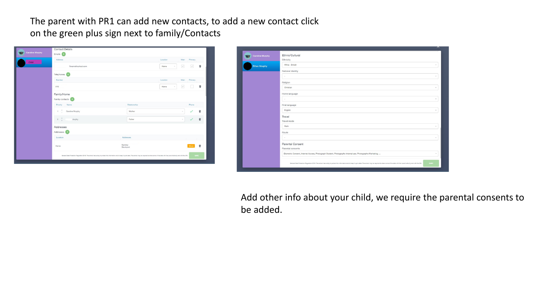The parent with PR1 can add new contacts, to add a new contact click on the green plus sign next to family/Contacts

| <b>Caroline Murphy</b> | Emails <b>CD</b>                                                                                                                                                                                                      |                      |                |                         |              |   |  |  |  |
|------------------------|-----------------------------------------------------------------------------------------------------------------------------------------------------------------------------------------------------------------------|----------------------|----------------|-------------------------|--------------|---|--|--|--|
|                        | Address                                                                                                                                                                                                               |                      | Location       | Main                    | Primary      |   |  |  |  |
| Child                  | @wernethschool.com                                                                                                                                                                                                    |                      | Home<br>$\;$   | $\overline{\checkmark}$ | $\checkmark$ | ŵ |  |  |  |
|                        | Telephones (                                                                                                                                                                                                          |                      |                |                         |              |   |  |  |  |
|                        | Number                                                                                                                                                                                                                |                      | Location       | Main                    | Primary      |   |  |  |  |
|                        | 016                                                                                                                                                                                                                   |                      | Home<br>$\sim$ | $\checkmark$            |              | 會 |  |  |  |
|                        | Family/Home<br>Family contacts                                                                                                                                                                                        |                      |                |                         |              |   |  |  |  |
|                        | Priority<br>Name                                                                                                                                                                                                      | Relationship         |                |                         | Phone        |   |  |  |  |
|                        | Caroline Murphy<br>1                                                                                                                                                                                                  | Mother               |                | $\sim$                  |              | ŵ |  |  |  |
|                        | $\Lambda$<br>$\,$<br><b>Aurphy</b>                                                                                                                                                                                    | Father               |                |                         | $\checkmark$ | Ù |  |  |  |
|                        | Addresses<br>Addresses +                                                                                                                                                                                              |                      |                |                         |              |   |  |  |  |
|                        | Location                                                                                                                                                                                                              | Addresses            |                |                         |              |   |  |  |  |
|                        | Home                                                                                                                                                                                                                  | Romiley<br>Stockport |                |                         | Move         | Ù |  |  |  |
|                        | General Data Protection Regulation 2018: The school has a duty to protect this information and to keep it up to date. The school may be required to share some of the data with the Local Authority and with the CHE. |                      |                |                         | SAVE         |   |  |  |  |

| <b>Ethan Murphy</b> | White - British                                                                                          |        |
|---------------------|----------------------------------------------------------------------------------------------------------|--------|
|                     | National identity                                                                                        |        |
|                     | $\overline{\phantom{a}}$                                                                                 |        |
|                     | Religion                                                                                                 |        |
|                     | Christian                                                                                                |        |
|                     | Home language                                                                                            |        |
|                     | $\sim$                                                                                                   | $\sim$ |
|                     | First language                                                                                           |        |
|                     | English                                                                                                  | v      |
|                     | Travel                                                                                                   |        |
|                     | Travel mode                                                                                              |        |
|                     | Walk                                                                                                     |        |
|                     | Route                                                                                                    |        |
|                     | $\sim$                                                                                                   |        |
|                     | Parental Consent                                                                                         |        |
|                     | Parental consents                                                                                        |        |
|                     | Biometric Consent, Internet Access, Photograph Student, Photographs-Internal use, Photographs-Marketing, |        |

Add other info about your child, we require the parental consents to be added.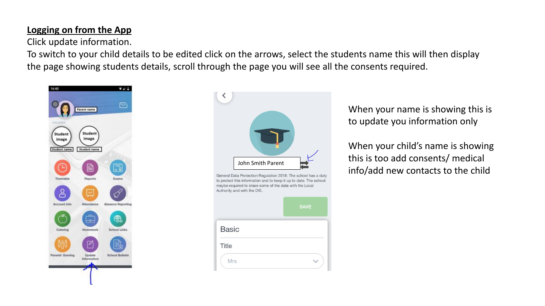## **Logging on from the App**

Click update information.

To switch to your child details to be edited click on the arrows, select the students name this will then display the page showing students details, scroll through the page you will see all the consents required.





When your name is showing this is to update you information only

When your child's name is showing this is too add consents/ medical info/add new contacts to the child